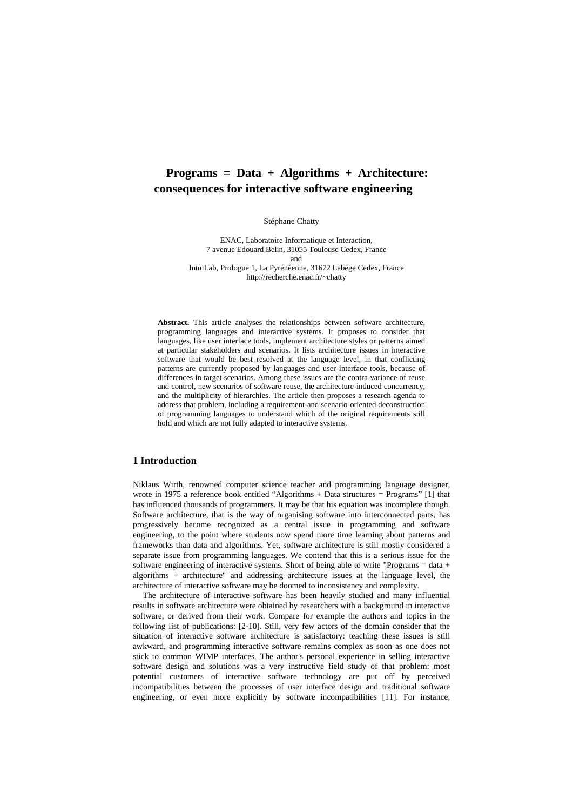# **Programs = Data + Algorithms + Architecture: consequences for interactive software engineering**

Stéphane Chatty

ENAC, Laboratoire Informatique et Interaction, 7 avenue Edouard Belin, 31055 Toulouse Cedex, France and

IntuiLab, Prologue 1, La Pyrénéenne, 31672 Labège Cedex, France http://recherche.enac.fr/~chatty

**Abstract.** This article analyses the relationships between software architecture, programming languages and interactive systems. It proposes to consider that languages, like user interface tools, implement architecture styles or patterns aimed at particular stakeholders and scenarios. It lists architecture issues in interactive software that would be best resolved at the language level, in that conflicting patterns are currently proposed by languages and user interface tools, because of differences in target scenarios. Among these issues are the contra-variance of reuse and control, new scenarios of software reuse, the architecture-induced concurrency, and the multiplicity of hierarchies. The article then proposes a research agenda to address that problem, including a requirement-and scenario-oriented deconstruction of programming languages to understand which of the original requirements still hold and which are not fully adapted to interactive systems.

# **1 Introduction**

Niklaus Wirth, renowned computer science teacher and programming language designer, wrote in 1975 a reference book entitled "Algorithms + Data structures = Programs" [1] that has influenced thousands of programmers. It may be that his equation was incomplete though. Software architecture, that is the way of organising software into interconnected parts, has progressively become recognized as a central issue in programming and software engineering, to the point where students now spend more time learning about patterns and frameworks than data and algorithms. Yet, software architecture is still mostly considered a separate issue from programming languages. We contend that this is a serious issue for the software engineering of interactive systems. Short of being able to write "Programs = data + algorithms + architecture" and addressing architecture issues at the language level, the architecture of interactive software may be doomed to inconsistency and complexity.

The architecture of interactive software has been heavily studied and many influential results in software architecture were obtained by researchers with a background in interactive software, or derived from their work. Compare for example the authors and topics in the following list of publications: [2-10]. Still, very few actors of the domain consider that the situation of interactive software architecture is satisfactory: teaching these issues is still awkward, and programming interactive software remains complex as soon as one does not stick to common WIMP interfaces. The author's personal experience in selling interactive software design and solutions was a very instructive field study of that problem: most potential customers of interactive software technology are put off by perceived incompatibilities between the processes of user interface design and traditional software engineering, or even more explicitly by software incompatibilities [11]. For instance,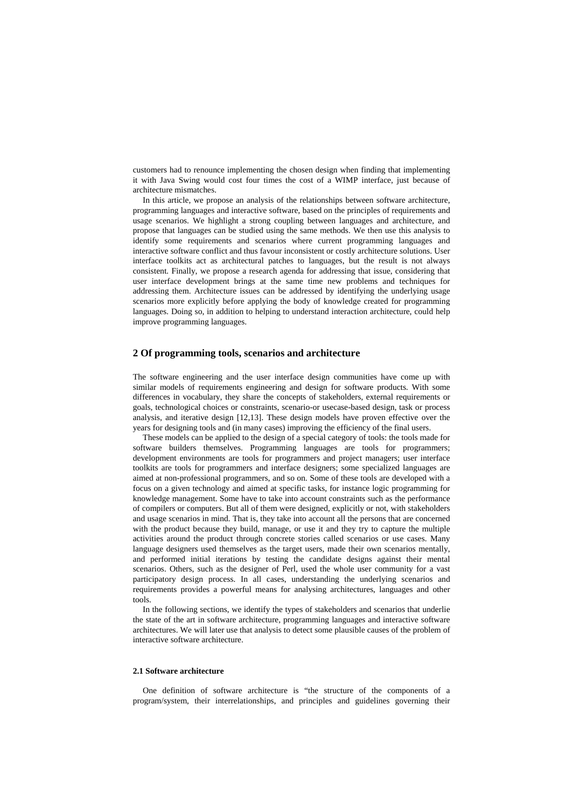customers had to renounce implementing the chosen design when finding that implementing it with Java Swing would cost four times the cost of a WIMP interface, just because of architecture mismatches.

In this article, we propose an analysis of the relationships between software architecture, programming languages and interactive software, based on the principles of requirements and usage scenarios. We highlight a strong coupling between languages and architecture, and propose that languages can be studied using the same methods. We then use this analysis to identify some requirements and scenarios where current programming languages and interactive software conflict and thus favour inconsistent or costly architecture solutions. User interface toolkits act as architectural patches to languages, but the result is not always consistent. Finally, we propose a research agenda for addressing that issue, considering that user interface development brings at the same time new problems and techniques for addressing them. Architecture issues can be addressed by identifying the underlying usage scenarios more explicitly before applying the body of knowledge created for programming languages. Doing so, in addition to helping to understand interaction architecture, could help improve programming languages.

## **2 Of programming tools, scenarios and architecture**

The software engineering and the user interface design communities have come up with similar models of requirements engineering and design for software products. With some differences in vocabulary, they share the concepts of stakeholders, external requirements or goals, technological choices or constraints, scenario-or usecase-based design, task or process analysis, and iterative design [12,13]. These design models have proven effective over the years for designing tools and (in many cases) improving the efficiency of the final users.

These models can be applied to the design of a special category of tools: the tools made for software builders themselves. Programming languages are tools for programmers; development environments are tools for programmers and project managers; user interface toolkits are tools for programmers and interface designers; some specialized languages are aimed at non-professional programmers, and so on. Some of these tools are developed with a focus on a given technology and aimed at specific tasks, for instance logic programming for knowledge management. Some have to take into account constraints such as the performance of compilers or computers. But all of them were designed, explicitly or not, with stakeholders and usage scenarios in mind. That is, they take into account all the persons that are concerned with the product because they build, manage, or use it and they try to capture the multiple activities around the product through concrete stories called scenarios or use cases. Many language designers used themselves as the target users, made their own scenarios mentally, and performed initial iterations by testing the candidate designs against their mental scenarios. Others, such as the designer of Perl, used the whole user community for a vast participatory design process. In all cases, understanding the underlying scenarios and requirements provides a powerful means for analysing architectures, languages and other tools.

In the following sections, we identify the types of stakeholders and scenarios that underlie the state of the art in software architecture, programming languages and interactive software architectures. We will later use that analysis to detect some plausible causes of the problem of interactive software architecture.

## **2.1 Software architecture**

One definition of software architecture is "the structure of the components of a program/system, their interrelationships, and principles and guidelines governing their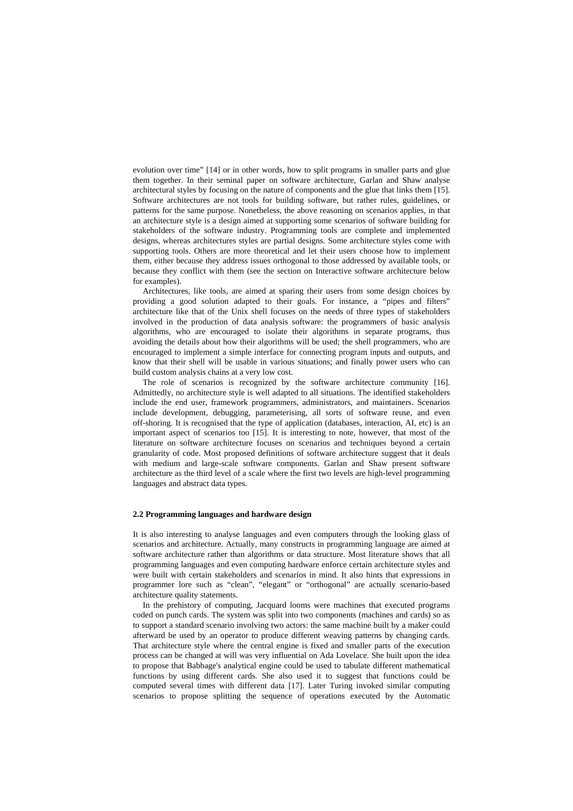evolution over time" [14] or in other words, how to split programs in smaller parts and glue them together. In their seminal paper on software architecture, Garlan and Shaw analyse architectural styles by focusing on the nature of components and the glue that links them [15]. Software architectures are not tools for building software, but rather rules, guidelines, or patterns for the same purpose. Nonetheless, the above reasoning on scenarios applies, in that an architecture style is a design aimed at supporting some scenarios of software building for stakeholders of the software industry. Programming tools are complete and implemented designs, whereas architectures styles are partial designs. Some architecture styles come with supporting tools. Others are more theoretical and let their users choose how to implement them, either because they address issues orthogonal to those addressed by available tools, or because they conflict with them (see the section on Interactive software architecture below for examples).

Architectures, like tools, are aimed at sparing their users from some design choices by providing a good solution adapted to their goals. For instance, a "pipes and filters" architecture like that of the Unix shell focuses on the needs of three types of stakeholders involved in the production of data analysis software: the programmers of basic analysis algorithms, who are encouraged to isolate their algorithms in separate programs, thus avoiding the details about how their algorithms will be used; the shell programmers, who are encouraged to implement a simple interface for connecting program inputs and outputs, and know that their shell will be usable in various situations; and finally power users who can build custom analysis chains at a very low cost.

The role of scenarios is recognized by the software architecture community [16]. Admittedly, no architecture style is well adapted to all situations. The identified stakeholders include the end user, framework programmers, administrators, and maintainers. Scenarios include development, debugging, parameterising, all sorts of software reuse, and even off-shoring. It is recognised that the type of application (databases, interaction, AI, etc) is an important aspect of scenarios too [15]. It is interesting to note, however, that most of the literature on software architecture focuses on scenarios and techniques beyond a certain granularity of code. Most proposed definitions of software architecture suggest that it deals with medium and large-scale software components. Garlan and Shaw present software architecture as the third level of a scale where the first two levels are high-level programming languages and abstract data types.

## **2.2 Programming languages and hardware design**

It is also interesting to analyse languages and even computers through the looking glass of scenarios and architecture. Actually, many constructs in programming language are aimed at software architecture rather than algorithms or data structure. Most literature shows that all programming languages and even computing hardware enforce certain architecture styles and were built with certain stakeholders and scenarios in mind. It also hints that expressions in programmer lore such as "clean", "elegant" or "orthogonal" are actually scenario-based architecture quality statements.

In the prehistory of computing, Jacquard looms were machines that executed programs coded on punch cards. The system was split into two components (machines and cards) so as to support a standard scenario involving two actors: the same machine built by a maker could afterward be used by an operator to produce different weaving patterns by changing cards. That architecture style where the central engine is fixed and smaller parts of the execution process can be changed at will was very influential on Ada Lovelace. She built upon the idea to propose that Babbage's analytical engine could be used to tabulate different mathematical functions by using different cards. She also used it to suggest that functions could be computed several times with different data [17]. Later Turing invoked similar computing scenarios to propose splitting the sequence of operations executed by the Automatic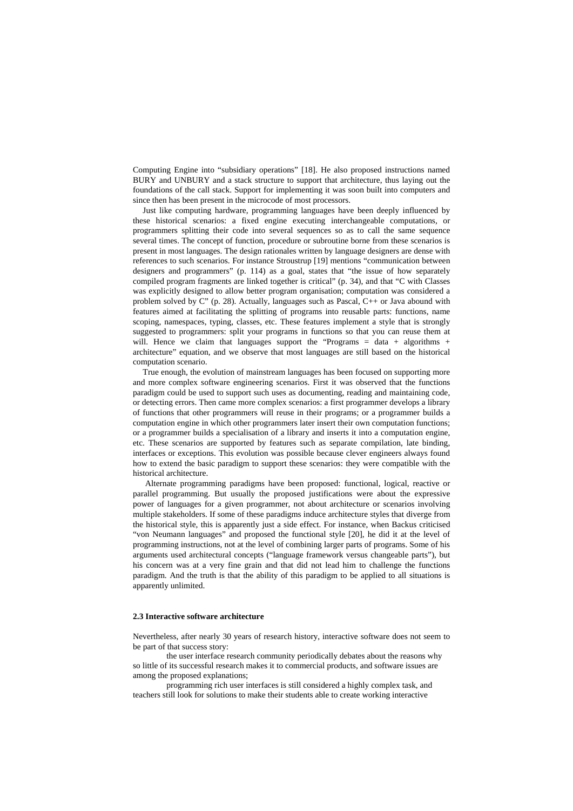Computing Engine into "subsidiary operations" [18]. He also proposed instructions named BURY and UNBURY and a stack structure to support that architecture, thus laying out the foundations of the call stack. Support for implementing it was soon built into computers and since then has been present in the microcode of most processors.

Just like computing hardware, programming languages have been deeply influenced by these historical scenarios: a fixed engine executing interchangeable computations, or programmers splitting their code into several sequences so as to call the same sequence several times. The concept of function, procedure or subroutine borne from these scenarios is present in most languages. The design rationales written by language designers are dense with references to such scenarios. For instance Stroustrup [19] mentions "communication between designers and programmers" (p. 114) as a goal, states that "the issue of how separately compiled program fragments are linked together is critical" (p. 34), and that "C with Classes was explicitly designed to allow better program organisation; computation was considered a problem solved by C" (p. 28). Actually, languages such as Pascal, C++ or Java abound with features aimed at facilitating the splitting of programs into reusable parts: functions, name scoping, namespaces, typing, classes, etc. These features implement a style that is strongly suggested to programmers: split your programs in functions so that you can reuse them at will. Hence we claim that languages support the "Programs  $=$  data + algorithms + architecture" equation, and we observe that most languages are still based on the historical computation scenario.

True enough, the evolution of mainstream languages has been focused on supporting more and more complex software engineering scenarios. First it was observed that the functions paradigm could be used to support such uses as documenting, reading and maintaining code, or detecting errors. Then came more complex scenarios: a first programmer develops a library of functions that other programmers will reuse in their programs; or a programmer builds a computation engine in which other programmers later insert their own computation functions; or a programmer builds a specialisation of a library and inserts it into a computation engine, etc. These scenarios are supported by features such as separate compilation, late binding, interfaces or exceptions. This evolution was possible because clever engineers always found how to extend the basic paradigm to support these scenarios: they were compatible with the historical architecture.

Alternate programming paradigms have been proposed: functional, logical, reactive or parallel programming. But usually the proposed justifications were about the expressive power of languages for a given programmer, not about architecture or scenarios involving multiple stakeholders. If some of these paradigms induce architecture styles that diverge from the historical style, this is apparently just a side effect. For instance, when Backus criticised "von Neumann languages" and proposed the functional style [20], he did it at the level of programming instructions, not at the level of combining larger parts of programs. Some of his arguments used architectural concepts ("language framework versus changeable parts"), but his concern was at a very fine grain and that did not lead him to challenge the functions paradigm. And the truth is that the ability of this paradigm to be applied to all situations is apparently unlimited.

## **2.3 Interactive software architecture**

Nevertheless, after nearly 30 years of research history, interactive software does not seem to be part of that success story:

the user interface research community periodically debates about the reasons why so little of its successful research makes it to commercial products, and software issues are among the proposed explanations;

programming rich user interfaces is still considered a highly complex task, and teachers still look for solutions to make their students able to create working interactive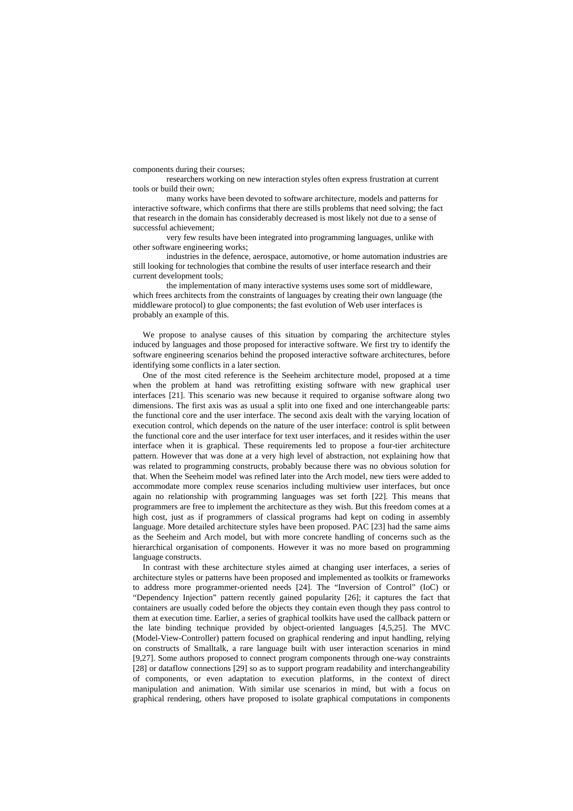#### components during their courses;

researchers working on new interaction styles often express frustration at current tools or build their own;

many works have been devoted to software architecture, models and patterns for interactive software, which confirms that there are stills problems that need solving; the fact that research in the domain has considerably decreased is most likely not due to a sense of successful achievement;

very few results have been integrated into programming languages, unlike with other software engineering works;

industries in the defence, aerospace, automotive, or home automation industries are still looking for technologies that combine the results of user interface research and their current development tools;

the implementation of many interactive systems uses some sort of middleware, which frees architects from the constraints of languages by creating their own language (the middleware protocol) to glue components; the fast evolution of Web user interfaces is probably an example of this.

We propose to analyse causes of this situation by comparing the architecture styles induced by languages and those proposed for interactive software. We first try to identify the software engineering scenarios behind the proposed interactive software architectures, before identifying some conflicts in a later section.

One of the most cited reference is the Seeheim architecture model, proposed at a time when the problem at hand was retrofitting existing software with new graphical user interfaces [21]. This scenario was new because it required to organise software along two dimensions. The first axis was as usual a split into one fixed and one interchangeable parts: the functional core and the user interface. The second axis dealt with the varying location of execution control, which depends on the nature of the user interface: control is split between the functional core and the user interface for text user interfaces, and it resides within the user interface when it is graphical. These requirements led to propose a four-tier architecture pattern. However that was done at a very high level of abstraction, not explaining how that was related to programming constructs, probably because there was no obvious solution for that. When the Seeheim model was refined later into the Arch model, new tiers were added to accommodate more complex reuse scenarios including multiview user interfaces, but once again no relationship with programming languages was set forth [22]. This means that programmers are free to implement the architecture as they wish. But this freedom comes at a high cost, just as if programmers of classical programs had kept on coding in assembly language. More detailed architecture styles have been proposed. PAC [23] had the same aims as the Seeheim and Arch model, but with more concrete handling of concerns such as the hierarchical organisation of components. However it was no more based on programming language constructs.

In contrast with these architecture styles aimed at changing user interfaces, a series of architecture styles or patterns have been proposed and implemented as toolkits or frameworks to address more programmer-oriented needs [24]. The "Inversion of Control" (IoC) or "Dependency Injection" pattern recently gained popularity [26]; it captures the fact that containers are usually coded before the objects they contain even though they pass control to them at execution time. Earlier, a series of graphical toolkits have used the callback pattern or the late binding technique provided by object-oriented languages [4,5,25]. The MVC (Model-View-Controller) pattern focused on graphical rendering and input handling, relying on constructs of Smalltalk, a rare language built with user interaction scenarios in mind [9,27]. Some authors proposed to connect program components through one-way constraints [28] or dataflow connections [29] so as to support program readability and interchangeability of components, or even adaptation to execution platforms, in the context of direct manipulation and animation. With similar use scenarios in mind, but with a focus on graphical rendering, others have proposed to isolate graphical computations in components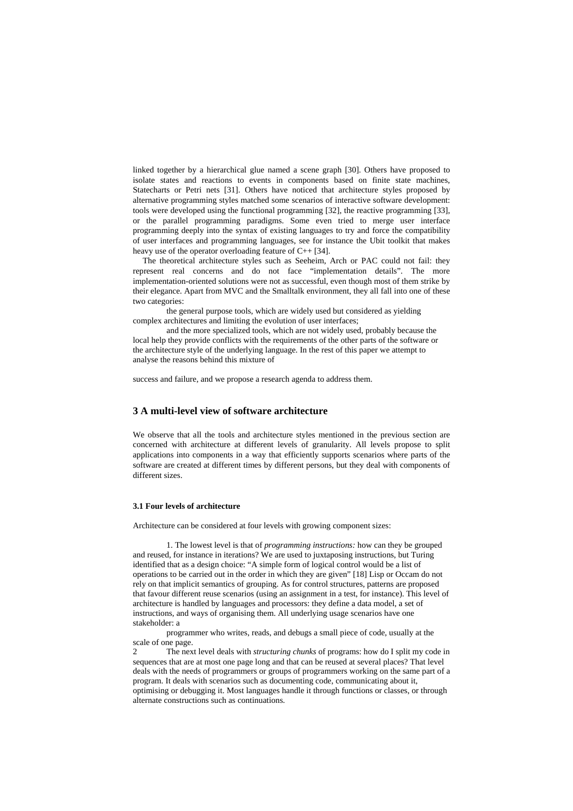linked together by a hierarchical glue named a scene graph [30]. Others have proposed to isolate states and reactions to events in components based on finite state machines, Statecharts or Petri nets [31]. Others have noticed that architecture styles proposed by alternative programming styles matched some scenarios of interactive software development: tools were developed using the functional programming [32], the reactive programming [33], or the parallel programming paradigms. Some even tried to merge user interface programming deeply into the syntax of existing languages to try and force the compatibility of user interfaces and programming languages, see for instance the Ubit toolkit that makes heavy use of the operator overloading feature of C++ [34].

The theoretical architecture styles such as Seeheim, Arch or PAC could not fail: they represent real concerns and do not face "implementation details". The more implementation-oriented solutions were not as successful, even though most of them strike by their elegance. Apart from MVC and the Smalltalk environment, they all fall into one of these two categories:

the general purpose tools, which are widely used but considered as yielding complex architectures and limiting the evolution of user interfaces;

and the more specialized tools, which are not widely used, probably because the local help they provide conflicts with the requirements of the other parts of the software or the architecture style of the underlying language. In the rest of this paper we attempt to analyse the reasons behind this mixture of

success and failure, and we propose a research agenda to address them.

## **3 A multi-level view of software architecture**

We observe that all the tools and architecture styles mentioned in the previous section are concerned with architecture at different levels of granularity. All levels propose to split applications into components in a way that efficiently supports scenarios where parts of the software are created at different times by different persons, but they deal with components of different sizes.

## **3.1 Four levels of architecture**

Architecture can be considered at four levels with growing component sizes:

1. The lowest level is that of *programming instructions:* how can they be grouped and reused, for instance in iterations? We are used to juxtaposing instructions, but Turing identified that as a design choice: "A simple form of logical control would be a list of operations to be carried out in the order in which they are given" [18] Lisp or Occam do not rely on that implicit semantics of grouping. As for control structures, patterns are proposed that favour different reuse scenarios (using an assignment in a test, for instance). This level of architecture is handled by languages and processors: they define a data model, a set of instructions, and ways of organising them. All underlying usage scenarios have one stakeholder: a

programmer who writes, reads, and debugs a small piece of code, usually at the scale of one page.

2 The next level deals with *structuring chunks* of programs: how do I split my code in sequences that are at most one page long and that can be reused at several places? That level deals with the needs of programmers or groups of programmers working on the same part of a program. It deals with scenarios such as documenting code, communicating about it, optimising or debugging it. Most languages handle it through functions or classes, or through alternate constructions such as continuations.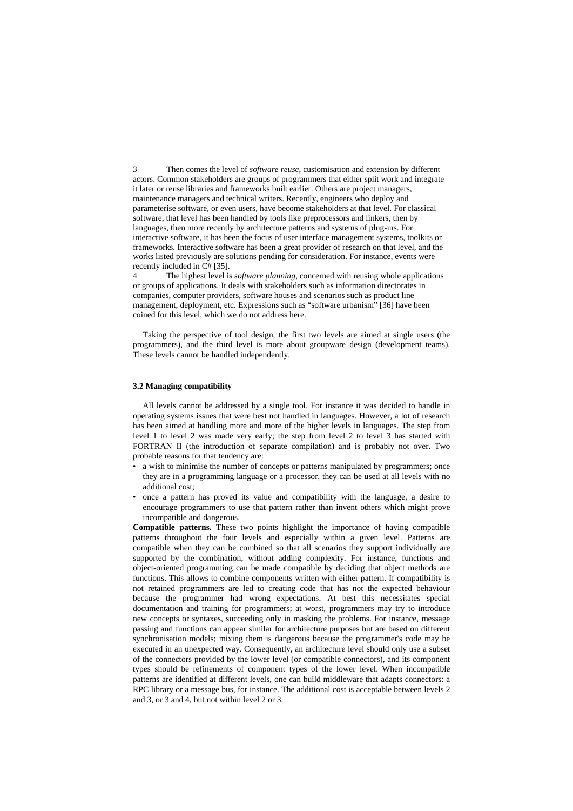3 Then comes the level of *software reuse*, customisation and extension by different actors. Common stakeholders are groups of programmers that either split work and integrate it later or reuse libraries and frameworks built earlier. Others are project managers, maintenance managers and technical writers. Recently, engineers who deploy and parameterise software, or even users, have become stakeholders at that level. For classical software, that level has been handled by tools like preprocessors and linkers, then by languages, then more recently by architecture patterns and systems of plug-ins. For interactive software, it has been the focus of user interface management systems, toolkits or frameworks. Interactive software has been a great provider of research on that level, and the works listed previously are solutions pending for consideration. For instance, events were recently included in C# [35].

4 The highest level is *software planning*, concerned with reusing whole applications or groups of applications. It deals with stakeholders such as information directorates in companies, computer providers, software houses and scenarios such as product line management, deployment, etc. Expressions such as "software urbanism" [36] have been coined for this level, which we do not address here.

Taking the perspective of tool design, the first two levels are aimed at single users (the programmers), and the third level is more about groupware design (development teams). These levels cannot be handled independently.

## **3.2 Managing compatibility**

All levels cannot be addressed by a single tool. For instance it was decided to handle in operating systems issues that were best not handled in languages. However, a lot of research has been aimed at handling more and more of the higher levels in languages. The step from level 1 to level 2 was made very early; the step from level 2 to level 3 has started with FORTRAN II (the introduction of separate compilation) and is probably not over. Two probable reasons for that tendency are:

- a wish to minimise the number of concepts or patterns manipulated by programmers; once they are in a programming language or a processor, they can be used at all levels with no additional cost;
- once a pattern has proved its value and compatibility with the language, a desire to encourage programmers to use that pattern rather than invent others which might prove incompatible and dangerous.

**Compatible patterns.** These two points highlight the importance of having compatible patterns throughout the four levels and especially within a given level. Patterns are compatible when they can be combined so that all scenarios they support individually are supported by the combination, without adding complexity. For instance, functions and object-oriented programming can be made compatible by deciding that object methods are functions. This allows to combine components written with either pattern. If compatibility is not retained programmers are led to creating code that has not the expected behaviour because the programmer had wrong expectations. At best this necessitates special documentation and training for programmers; at worst, programmers may try to introduce new concepts or syntaxes, succeeding only in masking the problems. For instance, message passing and functions can appear similar for architecture purposes but are based on different synchronisation models; mixing them is dangerous because the programmer's code may be executed in an unexpected way. Consequently, an architecture level should only use a subset of the connectors provided by the lower level (or compatible connectors), and its component types should be refinements of component types of the lower level. When incompatible patterns are identified at different levels, one can build middleware that adapts connectors: a RPC library or a message bus, for instance. The additional cost is acceptable between levels 2 and 3, or 3 and 4, but not within level 2 or 3.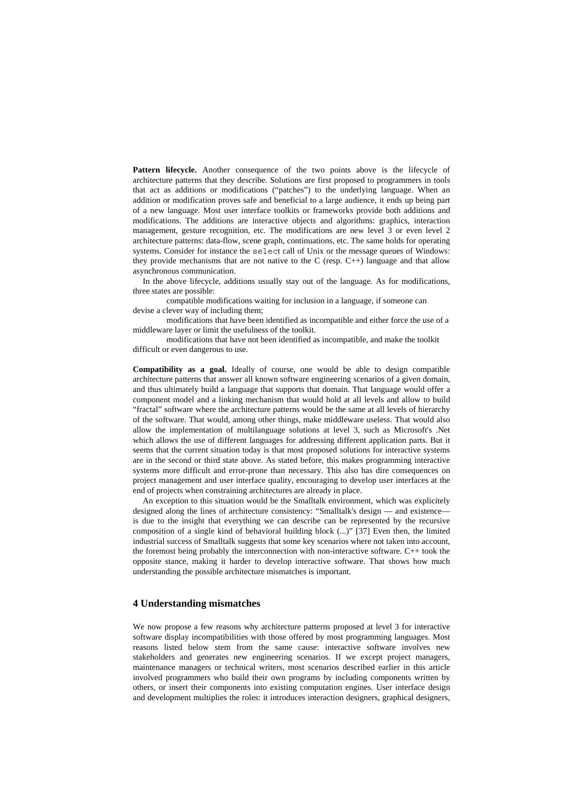Pattern lifecycle. Another consequence of the two points above is the lifecycle of architecture patterns that they describe. Solutions are first proposed to programmers in tools that act as additions or modifications ("patches") to the underlying language. When an addition or modification proves safe and beneficial to a large audience, it ends up being part of a new language. Most user interface toolkits or frameworks provide both additions and modifications. The additions are interactive objects and algorithms: graphics, interaction management, gesture recognition, etc. The modifications are new level 3 or even level 2 architecture patterns: data-flow, scene graph, continuations, etc. The same holds for operating systems. Consider for instance the select call of Unix or the message queues of Windows: they provide mechanisms that are not native to the  $C$  (resp.  $C_{++}$ ) language and that allow asynchronous communication.

In the above lifecycle, additions usually stay out of the language. As for modifications, three states are possible:

compatible modifications waiting for inclusion in a language, if someone can devise a clever way of including them;

modifications that have been identified as incompatible and either force the use of a middleware layer or limit the usefulness of the toolkit.

modifications that have not been identified as incompatible, and make the toolkit difficult or even dangerous to use.

**Compatibility as a goal.** Ideally of course, one would be able to design compatible architecture patterns that answer all known software engineering scenarios of a given domain, and thus ultimately build a language that supports that domain. That language would offer a component model and a linking mechanism that would hold at all levels and allow to build "fractal" software where the architecture patterns would be the same at all levels of hierarchy of the software. That would, among other things, make middleware useless. That would also allow the implementation of multilanguage solutions at level 3, such as Microsoft's .Net which allows the use of different languages for addressing different application parts. But it seems that the current situation today is that most proposed solutions for interactive systems are in the second or third state above. As stated before, this makes programming interactive systems more difficult and error-prone than necessary. This also has dire consequences on project management and user interface quality, encouraging to develop user interfaces at the end of projects when constraining architectures are already in place.

An exception to this situation would be the Smalltalk environment, which was explicitely designed along the lines of architecture consistency: "Smalltalk's design — and existence is due to the insight that everything we can describe can be represented by the recursive composition of a single kind of behavioral building block (...)" [37] Even then, the limited industrial success of Smalltalk suggests that some key scenarios where not taken into account, the foremost being probably the interconnection with non-interactive software. C++ took the opposite stance, making it harder to develop interactive software. That shows how much understanding the possible architecture mismatches is important.

## **4 Understanding mismatches**

We now propose a few reasons why architecture patterns proposed at level 3 for interactive software display incompatibilities with those offered by most programming languages. Most reasons listed below stem from the same cause: interactive software involves new stakeholders and generates new engineering scenarios. If we except project managers, maintenance managers or technical writers, most scenarios described earlier in this article involved programmers who build their own programs by including components written by others, or insert their components into existing computation engines. User interface design and development multiplies the roles: it introduces interaction designers, graphical designers,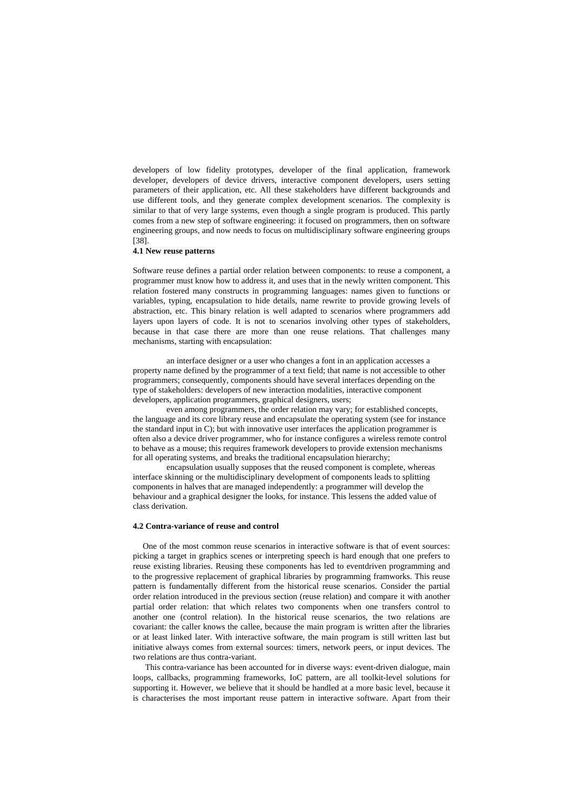developers of low fidelity prototypes, developer of the final application, framework developer, developers of device drivers, interactive component developers, users setting parameters of their application, etc. All these stakeholders have different backgrounds and use different tools, and they generate complex development scenarios. The complexity is similar to that of very large systems, even though a single program is produced. This partly comes from a new step of software engineering: it focused on programmers, then on software engineering groups, and now needs to focus on multidisciplinary software engineering groups [38].

#### **4.1 New reuse patterns**

Software reuse defines a partial order relation between components: to reuse a component, a programmer must know how to address it, and uses that in the newly written component. This relation fostered many constructs in programming languages: names given to functions or variables, typing, encapsulation to hide details, name rewrite to provide growing levels of abstraction, etc. This binary relation is well adapted to scenarios where programmers add layers upon layers of code. It is not to scenarios involving other types of stakeholders, because in that case there are more than one reuse relations. That challenges many mechanisms, starting with encapsulation:

an interface designer or a user who changes a font in an application accesses a property name defined by the programmer of a text field; that name is not accessible to other programmers; consequently, components should have several interfaces depending on the type of stakeholders: developers of new interaction modalities, interactive component developers, application programmers, graphical designers, users;

even among programmers, the order relation may vary; for established concepts, the language and its core library reuse and encapsulate the operating system (see for instance the standard input in C); but with innovative user interfaces the application programmer is often also a device driver programmer, who for instance configures a wireless remote control to behave as a mouse; this requires framework developers to provide extension mechanisms for all operating systems, and breaks the traditional encapsulation hierarchy;

encapsulation usually supposes that the reused component is complete, whereas interface skinning or the multidisciplinary development of components leads to splitting components in halves that are managed independently: a programmer will develop the behaviour and a graphical designer the looks, for instance. This lessens the added value of class derivation.

#### **4.2 Contra-variance of reuse and control**

One of the most common reuse scenarios in interactive software is that of event sources: picking a target in graphics scenes or interpreting speech is hard enough that one prefers to reuse existing libraries. Reusing these components has led to eventdriven programming and to the progressive replacement of graphical libraries by programming framworks. This reuse pattern is fundamentally different from the historical reuse scenarios. Consider the partial order relation introduced in the previous section (reuse relation) and compare it with another partial order relation: that which relates two components when one transfers control to another one (control relation). In the historical reuse scenarios, the two relations are covariant: the caller knows the callee, because the main program is written after the libraries or at least linked later. With interactive software, the main program is still written last but initiative always comes from external sources: timers, network peers, or input devices. The two relations are thus contra-variant.

This contra-variance has been accounted for in diverse ways: event-driven dialogue, main loops, callbacks, programming frameworks, IoC pattern, are all toolkit-level solutions for supporting it. However, we believe that it should be handled at a more basic level, because it is characterises the most important reuse pattern in interactive software. Apart from their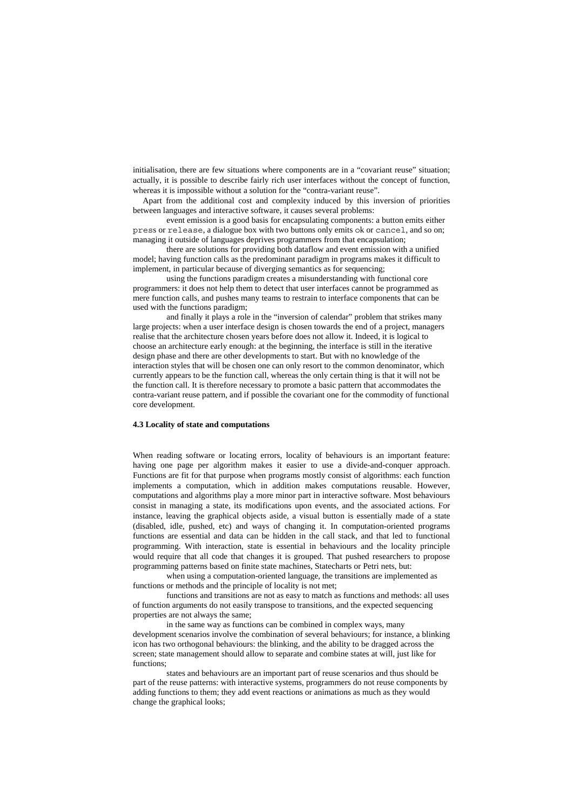initialisation, there are few situations where components are in a "covariant reuse" situation; actually, it is possible to describe fairly rich user interfaces without the concept of function, whereas it is impossible without a solution for the "contra-variant reuse".

Apart from the additional cost and complexity induced by this inversion of priorities between languages and interactive software, it causes several problems:

event emission is a good basis for encapsulating components: a button emits either press or release, a dialogue box with two buttons only emits ok or cancel, and so on; managing it outside of languages deprives programmers from that encapsulation;

there are solutions for providing both dataflow and event emission with a unified model; having function calls as the predominant paradigm in programs makes it difficult to implement, in particular because of diverging semantics as for sequencing;

using the functions paradigm creates a misunderstanding with functional core programmers: it does not help them to detect that user interfaces cannot be programmed as mere function calls, and pushes many teams to restrain to interface components that can be used with the functions paradigm;

and finally it plays a role in the "inversion of calendar" problem that strikes many large projects: when a user interface design is chosen towards the end of a project, managers realise that the architecture chosen years before does not allow it. Indeed, it is logical to choose an architecture early enough: at the beginning, the interface is still in the iterative design phase and there are other developments to start. But with no knowledge of the interaction styles that will be chosen one can only resort to the common denominator, which currently appears to be the function call, whereas the only certain thing is that it will not be the function call. It is therefore necessary to promote a basic pattern that accommodates the contra-variant reuse pattern, and if possible the covariant one for the commodity of functional core development.

## **4.3 Locality of state and computations**

When reading software or locating errors, locality of behaviours is an important feature: having one page per algorithm makes it easier to use a divide-and-conquer approach. Functions are fit for that purpose when programs mostly consist of algorithms: each function implements a computation, which in addition makes computations reusable. However, computations and algorithms play a more minor part in interactive software. Most behaviours consist in managing a state, its modifications upon events, and the associated actions. For instance, leaving the graphical objects aside, a visual button is essentially made of a state (disabled, idle, pushed, etc) and ways of changing it. In computation-oriented programs functions are essential and data can be hidden in the call stack, and that led to functional programming. With interaction, state is essential in behaviours and the locality principle would require that all code that changes it is grouped. That pushed researchers to propose programming patterns based on finite state machines, Statecharts or Petri nets, but:

when using a computation-oriented language, the transitions are implemented as functions or methods and the principle of locality is not met;

functions and transitions are not as easy to match as functions and methods: all uses of function arguments do not easily transpose to transitions, and the expected sequencing properties are not always the same;

in the same way as functions can be combined in complex ways, many development scenarios involve the combination of several behaviours; for instance, a blinking icon has two orthogonal behaviours: the blinking, and the ability to be dragged across the screen; state management should allow to separate and combine states at will, just like for functions:

states and behaviours are an important part of reuse scenarios and thus should be part of the reuse patterns: with interactive systems, programmers do not reuse components by adding functions to them; they add event reactions or animations as much as they would change the graphical looks;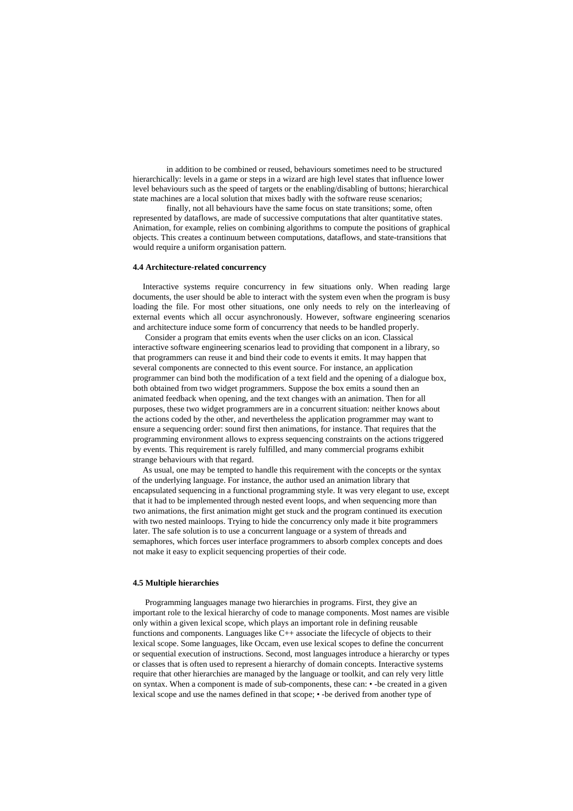in addition to be combined or reused, behaviours sometimes need to be structured hierarchically: levels in a game or steps in a wizard are high level states that influence lower level behaviours such as the speed of targets or the enabling/disabling of buttons; hierarchical state machines are a local solution that mixes badly with the software reuse scenarios;

finally, not all behaviours have the same focus on state transitions; some, often represented by dataflows, are made of successive computations that alter quantitative states. Animation, for example, relies on combining algorithms to compute the positions of graphical objects. This creates a continuum between computations, dataflows, and state-transitions that would require a uniform organisation pattern.

## **4.4 Architecture-related concurrency**

Interactive systems require concurrency in few situations only. When reading large documents, the user should be able to interact with the system even when the program is busy loading the file. For most other situations, one only needs to rely on the interleaving of external events which all occur asynchronously. However, software engineering scenarios and architecture induce some form of concurrency that needs to be handled properly.

Consider a program that emits events when the user clicks on an icon. Classical interactive software engineering scenarios lead to providing that component in a library, so that programmers can reuse it and bind their code to events it emits. It may happen that several components are connected to this event source. For instance, an application programmer can bind both the modification of a text field and the opening of a dialogue box, both obtained from two widget programmers. Suppose the box emits a sound then an animated feedback when opening, and the text changes with an animation. Then for all purposes, these two widget programmers are in a concurrent situation: neither knows about the actions coded by the other, and nevertheless the application programmer may want to ensure a sequencing order: sound first then animations, for instance. That requires that the programming environment allows to express sequencing constraints on the actions triggered by events. This requirement is rarely fulfilled, and many commercial programs exhibit strange behaviours with that regard.

As usual, one may be tempted to handle this requirement with the concepts or the syntax of the underlying language. For instance, the author used an animation library that encapsulated sequencing in a functional programming style. It was very elegant to use, except that it had to be implemented through nested event loops, and when sequencing more than two animations, the first animation might get stuck and the program continued its execution with two nested mainloops. Trying to hide the concurrency only made it bite programmers later. The safe solution is to use a concurrent language or a system of threads and semaphores, which forces user interface programmers to absorb complex concepts and does not make it easy to explicit sequencing properties of their code.

#### **4.5 Multiple hierarchies**

Programming languages manage two hierarchies in programs. First, they give an important role to the lexical hierarchy of code to manage components. Most names are visible only within a given lexical scope, which plays an important role in defining reusable functions and components. Languages like C++ associate the lifecycle of objects to their lexical scope. Some languages, like Occam, even use lexical scopes to define the concurrent or sequential execution of instructions. Second, most languages introduce a hierarchy or types or classes that is often used to represent a hierarchy of domain concepts. Interactive systems require that other hierarchies are managed by the language or toolkit, and can rely very little on syntax. When a component is made of sub-components, these can: • -be created in a given lexical scope and use the names defined in that scope; • -be derived from another type of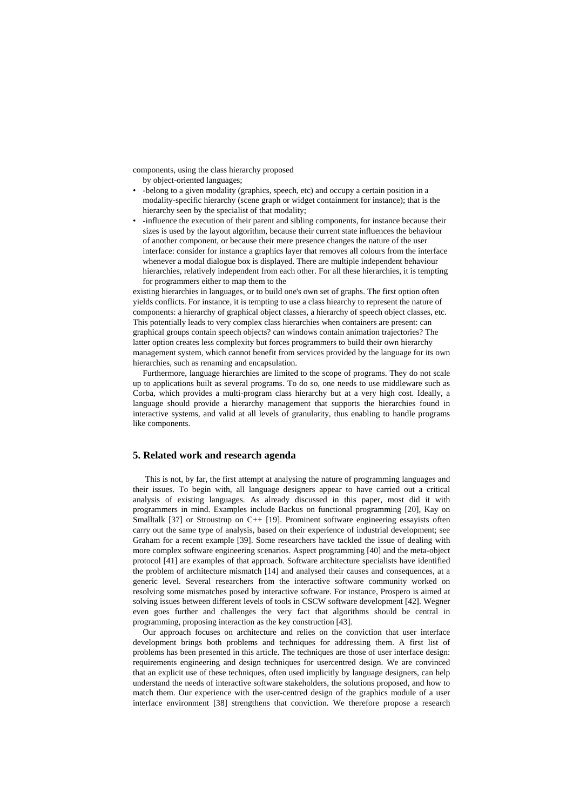components, using the class hierarchy proposed by object-oriented languages;

- -belong to a given modality (graphics, speech, etc) and occupy a certain position in a modality-specific hierarchy (scene graph or widget containment for instance); that is the hierarchy seen by the specialist of that modality;
- -influence the execution of their parent and sibling components, for instance because their sizes is used by the layout algorithm, because their current state influences the behaviour of another component, or because their mere presence changes the nature of the user interface: consider for instance a graphics layer that removes all colours from the interface whenever a modal dialogue box is displayed. There are multiple independent behaviour hierarchies, relatively independent from each other. For all these hierarchies, it is tempting for programmers either to map them to the

existing hierarchies in languages, or to build one's own set of graphs. The first option often yields conflicts. For instance, it is tempting to use a class hiearchy to represent the nature of components: a hierarchy of graphical object classes, a hierarchy of speech object classes, etc. This potentially leads to very complex class hierarchies when containers are present: can graphical groups contain speech objects? can windows contain animation trajectories? The latter option creates less complexity but forces programmers to build their own hierarchy management system, which cannot benefit from services provided by the language for its own hierarchies, such as renaming and encapsulation.

Furthermore, language hierarchies are limited to the scope of programs. They do not scale up to applications built as several programs. To do so, one needs to use middleware such as Corba, which provides a multi-program class hierarchy but at a very high cost. Ideally, a language should provide a hierarchy management that supports the hierarchies found in interactive systems, and valid at all levels of granularity, thus enabling to handle programs like components.

## **5. Related work and research agenda**

This is not, by far, the first attempt at analysing the nature of programming languages and their issues. To begin with, all language designers appear to have carried out a critical analysis of existing languages. As already discussed in this paper, most did it with programmers in mind. Examples include Backus on functional programming [20], Kay on Smalltalk [37] or Stroustrup on C++ [19]. Prominent software engineering essayists often carry out the same type of analysis, based on their experience of industrial development; see Graham for a recent example [39]. Some researchers have tackled the issue of dealing with more complex software engineering scenarios. Aspect programming [40] and the meta-object protocol [41] are examples of that approach. Software architecture specialists have identified the problem of architecture mismatch [14] and analysed their causes and consequences, at a generic level. Several researchers from the interactive software community worked on resolving some mismatches posed by interactive software. For instance, Prospero is aimed at solving issues between different levels of tools in CSCW software development [42]. Wegner even goes further and challenges the very fact that algorithms should be central in programming, proposing interaction as the key construction [43].

Our approach focuses on architecture and relies on the conviction that user interface development brings both problems and techniques for addressing them. A first list of problems has been presented in this article. The techniques are those of user interface design: requirements engineering and design techniques for usercentred design. We are convinced that an explicit use of these techniques, often used implicitly by language designers, can help understand the needs of interactive software stakeholders, the solutions proposed, and how to match them. Our experience with the user-centred design of the graphics module of a user interface environment [38] strengthens that conviction. We therefore propose a research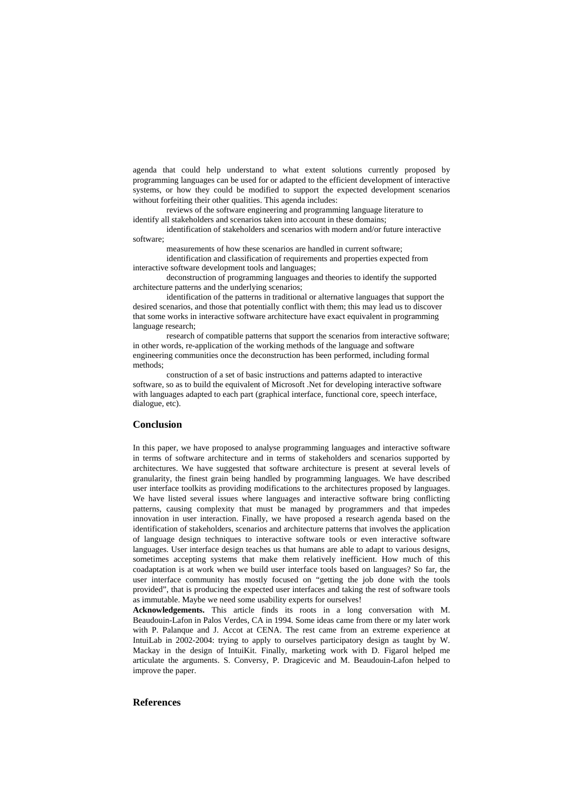agenda that could help understand to what extent solutions currently proposed by programming languages can be used for or adapted to the efficient development of interactive systems, or how they could be modified to support the expected development scenarios without forfeiting their other qualities. This agenda includes:

reviews of the software engineering and programming language literature to identify all stakeholders and scenarios taken into account in these domains;

identification of stakeholders and scenarios with modern and/or future interactive software;

measurements of how these scenarios are handled in current software;

identification and classification of requirements and properties expected from interactive software development tools and languages;

deconstruction of programming languages and theories to identify the supported architecture patterns and the underlying scenarios;

identification of the patterns in traditional or alternative languages that support the desired scenarios, and those that potentially conflict with them; this may lead us to discover that some works in interactive software architecture have exact equivalent in programming language research;

research of compatible patterns that support the scenarios from interactive software; in other words, re-application of the working methods of the language and software engineering communities once the deconstruction has been performed, including formal methods;

construction of a set of basic instructions and patterns adapted to interactive software, so as to build the equivalent of Microsoft .Net for developing interactive software with languages adapted to each part (graphical interface, functional core, speech interface, dialogue, etc).

## **Conclusion**

In this paper, we have proposed to analyse programming languages and interactive software in terms of software architecture and in terms of stakeholders and scenarios supported by architectures. We have suggested that software architecture is present at several levels of granularity, the finest grain being handled by programming languages. We have described user interface toolkits as providing modifications to the architectures proposed by languages. We have listed several issues where languages and interactive software bring conflicting patterns, causing complexity that must be managed by programmers and that impedes innovation in user interaction. Finally, we have proposed a research agenda based on the identification of stakeholders, scenarios and architecture patterns that involves the application of language design techniques to interactive software tools or even interactive software languages. User interface design teaches us that humans are able to adapt to various designs, sometimes accepting systems that make them relatively inefficient. How much of this coadaptation is at work when we build user interface tools based on languages? So far, the user interface community has mostly focused on "getting the job done with the tools provided", that is producing the expected user interfaces and taking the rest of software tools as immutable. Maybe we need some usability experts for ourselves!

**Acknowledgements.** This article finds its roots in a long conversation with M. Beaudouin-Lafon in Palos Verdes, CA in 1994. Some ideas came from there or my later work with P. Palanque and J. Accot at CENA. The rest came from an extreme experience at IntuiLab in 2002-2004: trying to apply to ourselves participatory design as taught by W. Mackay in the design of IntuiKit. Finally, marketing work with D. Figarol helped me articulate the arguments. S. Conversy, P. Dragicevic and M. Beaudouin-Lafon helped to improve the paper.

## **References**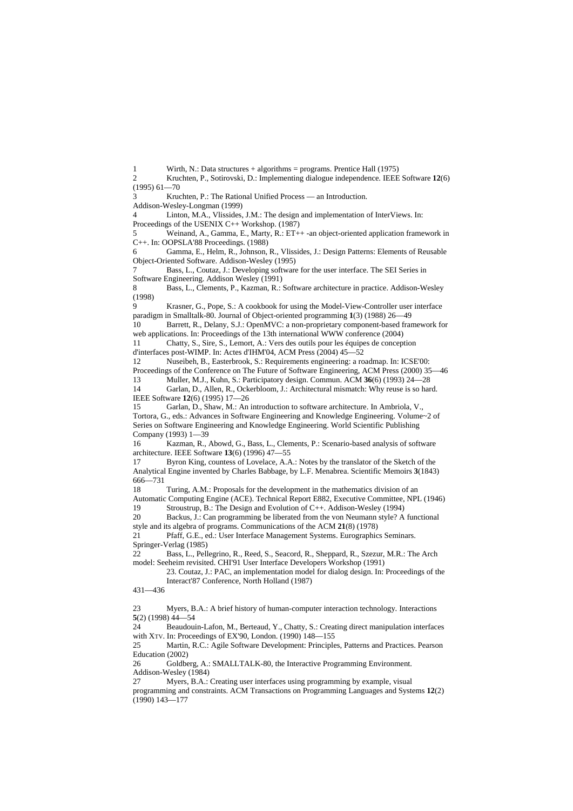1 Wirth, N.: Data structures + algorithms = programs. Prentice Hall (1975)

2 Kruchten, P., Sotirovski, D.: Implementing dialogue independence. IEEE Software **12**(6) (1995) 61—70

3 Kruchten, P.: The Rational Unified Process — an Introduction.

Addison-Wesley-Longman (1999)

4 Linton, M.A., Vlissides, J.M.: The design and implementation of InterViews. In: Proceedings of the USENIX C++ Workshop. (1987)

5 Weinand, A., Gamma, E., Marty, R.: ET++ -an object-oriented application framework in C++. In: OOPSLA'88 Proceedings. (1988)

6 Gamma, E., Helm, R., Johnson, R., Vlissides, J.: Design Patterns: Elements of Reusable Object-Oriented Software. Addison-Wesley (1995)

Bass, L., Coutaz, J.: Developing software for the user interface. The SEI Series in Software Engineering. Addison Wesley (1991)

8 Bass, L., Clements, P., Kazman, R.: Software architecture in practice. Addison-Wesley (1998)

9 Krasner, G., Pope, S.: A cookbook for using the Model-View-Controller user interface paradigm in Smalltalk-80. Journal of Object-oriented programming **1**(3) (1988) 26—49

10 Barrett, R., Delany, S.J.: OpenMVC: a non-proprietary component-based framework for web applications. In: Proceedings of the 13th international WWW conference (2004)

11 Chatty, S., Sire, S., Lemort, A.: Vers des outils pour les équipes de conception d'interfaces post-WIMP. In: Actes d'IHM'04, ACM Press (2004) 45—52

12 Nuseibeh, B., Easterbrook, S.: Requirements engineering: a roadmap. In: ICSE'00: Proceedings of the Conference on The Future of Software Engineering, ACM Press (2000) 35—46

13 Muller, M.J., Kuhn, S.: Participatory design. Commun. ACM **36**(6) (1993) 24—28 14 Garlan, D., Allen, R., Ockerbloom, J.: Architectural mismatch: Why reuse is so hard. IEEE Software **12**(6) (1995) 17—26

15 Garlan, D., Shaw, M.: An introduction to software architecture. In Ambriola, V., Tortora, G., eds.: Advances in Software Engineering and Knowledge Engineering. Volume~2 of Series on Software Engineering and Knowledge Engineering. World Scientific Publishing Company (1993) 1—39

16 Kazman, R., Abowd, G., Bass, L., Clements, P.: Scenario-based analysis of software architecture. IEEE Software **13**(6) (1996) 47—55

17 Byron King, countess of Lovelace, A.A.: Notes by the translator of the Sketch of the Analytical Engine invented by Charles Babbage, by L.F. Menabrea. Scientific Memoirs **3**(1843) 666—731

18 Turing, A.M.: Proposals for the development in the mathematics division of an

Automatic Computing Engine (ACE). Technical Report E882, Executive Committee, NPL (1946) 19 Stroustrup, B.: The Design and Evolution of C++. Addison-Wesley (1994)

20 Backus, J.: Can programming be liberated from the von Neumann style? A functional style and its algebra of programs. Communications of the ACM **21**(8) (1978)

21 Pfaff, G.E., ed.: User Interface Management Systems. Eurographics Seminars.

Springer-Verlag (1985)

22 Bass, L., Pellegrino, R., Reed, S., Seacord, R., Sheppard, R., Szezur, M.R.: The Arch model: Seeheim revisited. CHI'91 User Interface Developers Workshop (1991)

23. Coutaz, J.: PAC, an implementation model for dialog design. In: Proceedings of the Interact'87 Conference, North Holland (1987)

431—436

23 Myers, B.A.: A brief history of human-computer interaction technology. Interactions **5**(2) (1998) 44—54

24 Beaudouin-Lafon, M., Berteaud, Y., Chatty, S.: Creating direct manipulation interfaces with XTV. In: Proceedings of EX'90, London. (1990) 148—155

25 Martin, R.C.: Agile Software Development: Principles, Patterns and Practices. Pearson Education (2002)

26 Goldberg, A.: SMALLTALK-80, the Interactive Programming Environment. Addison-Wesley (1984)

27 Myers, B.A.: Creating user interfaces using programming by example, visual

programming and constraints. ACM Transactions on Programming Languages and Systems **12**(2) (1990) 143—177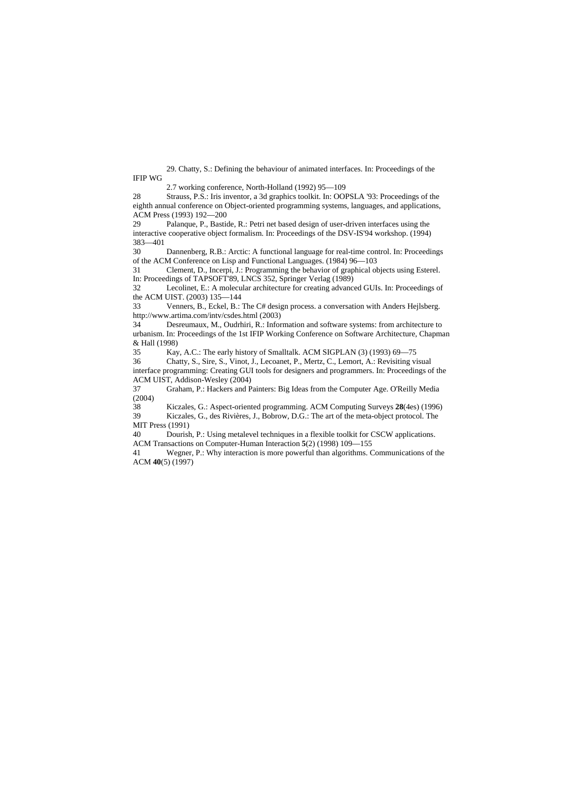29. Chatty, S.: Defining the behaviour of animated interfaces. In: Proceedings of the IFIP WG

2.7 working conference, North-Holland (1992) 95—109

28 Strauss, P.S.: Iris inventor, a 3d graphics toolkit. In: OOPSLA '93: Proceedings of the eighth annual conference on Object-oriented programming systems, languages, and applications, ACM Press (1993) 192—200

29 Palanque, P., Bastide, R.: Petri net based design of user-driven interfaces using the interactive cooperative object formalism. In: Proceedings of the DSV-IS'94 workshop. (1994) 383—401

30 Dannenberg, R.B.: Arctic: A functional language for real-time control. In: Proceedings of the ACM Conference on Lisp and Functional Languages. (1984) 96—103

31 Clement, D., Incerpi, J.: Programming the behavior of graphical objects using Esterel. In: Proceedings of TAPSOFT'89, LNCS 352, Springer Verlag (1989)

32 Lecolinet, E.: A molecular architecture for creating advanced GUIs. In: Proceedings of the ACM UIST. (2003) 135—144

33 Venners, B., Eckel, B.: The C# design process. a conversation with Anders Hejlsberg. http://www.artima.com/intv/csdes.html (2003)

34 Desreumaux, M., Oudrhiri, R.: Information and software systems: from architecture to urbanism. In: Proceedings of the 1st IFIP Working Conference on Software Architecture, Chapman & Hall (1998)<br>35 Kay

35 Kay, A.C.: The early history of Smalltalk. ACM SIGPLAN (3) (1993) 69—75

36 Chatty, S., Sire, S., Vinot, J., Lecoanet, P., Mertz, C., Lemort, A.: Revisiting visual interface programming: Creating GUI tools for designers and programmers. In: Proceedings of the ACM UIST, Addison-Wesley (2004)

37 Graham, P.: Hackers and Painters: Big Ideas from the Computer Age. O'Reilly Media (2004)

38 Kiczales, G.: Aspect-oriented programming. ACM Computing Surveys **28**(4es) (1996) 39 Kiczales, G., des Rivières, J., Bobrow, D.G.: The art of the meta-object protocol. The

MIT Press (1991)

40 Dourish, P.: Using metalevel techniques in a flexible toolkit for CSCW applications. ACM Transactions on Computer-Human Interaction **5**(2) (1998) 109—155

41 Wegner, P.: Why interaction is more powerful than algorithms. Communications of the ACM **40**(5) (1997)